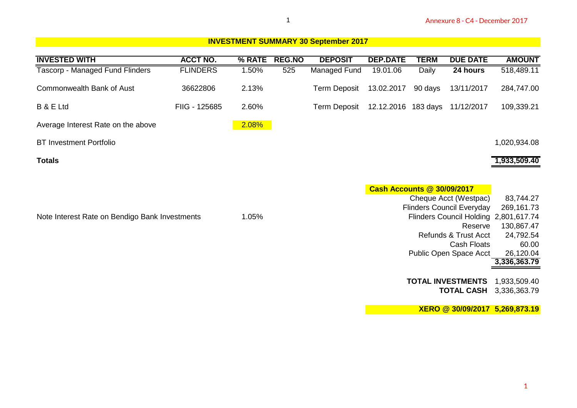|                                                |                 |        | 1             |                                             |                                   |              | Annexure 8 - C4 - December 2017                           |                                       |
|------------------------------------------------|-----------------|--------|---------------|---------------------------------------------|-----------------------------------|--------------|-----------------------------------------------------------|---------------------------------------|
|                                                |                 |        |               | <b>INVESTMENT SUMMARY 30 September 2017</b> |                                   |              |                                                           |                                       |
| <b>INVESTED WITH</b>                           | <b>ACCT NO.</b> | % RATE | <b>REG.NO</b> | <b>DEPOSIT</b>                              | <b>DEP.DATE</b>                   | <b>TERM</b>  | <b>DUE DATE</b>                                           | <b>AMOUNT</b>                         |
| Tascorp - Managed Fund Flinders                | <b>FLINDERS</b> | 1.50%  | 525           | <b>Managed Fund</b>                         | 19.01.06                          | <b>Daily</b> | 24 hours                                                  | 518,489.11                            |
| <b>Commonwealth Bank of Aust</b>               | 36622806        | 2.13%  |               | <b>Term Deposit</b>                         | 13.02.2017                        | 90 days      | 13/11/2017                                                | 284,747.00                            |
| <b>B &amp; E Ltd</b>                           | FIIG - 125685   | 2.60%  |               | <b>Term Deposit</b>                         | 12.12.2016 183 days               |              | 11/12/2017                                                | 109,339.21                            |
| Average Interest Rate on the above             |                 | 2.08%  |               |                                             |                                   |              |                                                           |                                       |
| <b>BT Investment Portfolio</b>                 |                 |        |               |                                             |                                   |              |                                                           | 1,020,934.08                          |
| <b>Totals</b>                                  |                 |        |               |                                             |                                   |              |                                                           | 1,933,509.40                          |
|                                                |                 |        |               |                                             |                                   |              |                                                           |                                       |
|                                                |                 |        |               |                                             | <b>Cash Accounts @ 30/09/2017</b> |              |                                                           |                                       |
|                                                |                 |        |               |                                             |                                   |              | Cheque Acct (Westpac)<br><b>Flinders Council Everyday</b> | 83,744.27<br>269,161.73               |
| Note Interest Rate on Bendigo Bank Investments |                 | 1.05%  |               |                                             |                                   |              |                                                           | Flinders Council Holding 2,801,617.74 |
|                                                |                 |        |               |                                             |                                   |              | Reserve                                                   | 130,867.47                            |
|                                                |                 |        |               |                                             |                                   |              | Refunds & Trust Acct                                      | 24,792.54                             |
|                                                |                 |        |               |                                             |                                   |              | <b>Cash Floats</b>                                        | 60.00                                 |
|                                                |                 |        |               |                                             |                                   |              | Public Open Space Acct                                    | 26,120.04                             |
|                                                |                 |        |               |                                             |                                   |              |                                                           | 3,336,363.79                          |
|                                                |                 |        |               |                                             |                                   |              | <b>TOTAL INVESTMENTS</b>                                  | 1,933,509.40                          |
|                                                |                 |        |               |                                             |                                   |              | <b>TOTAL CASH</b>                                         | 3,336,363.79                          |
|                                                |                 |        |               |                                             |                                   |              |                                                           | XERO @ 30/09/2017 5,269,873.19        |
|                                                |                 |        |               |                                             |                                   |              |                                                           |                                       |
|                                                |                 |        |               |                                             |                                   |              |                                                           |                                       |
|                                                |                 |        |               |                                             |                                   |              |                                                           |                                       |
|                                                |                 |        |               |                                             |                                   |              |                                                           |                                       |
|                                                |                 |        |               |                                             |                                   |              |                                                           |                                       |
|                                                |                 |        |               |                                             |                                   |              |                                                           |                                       |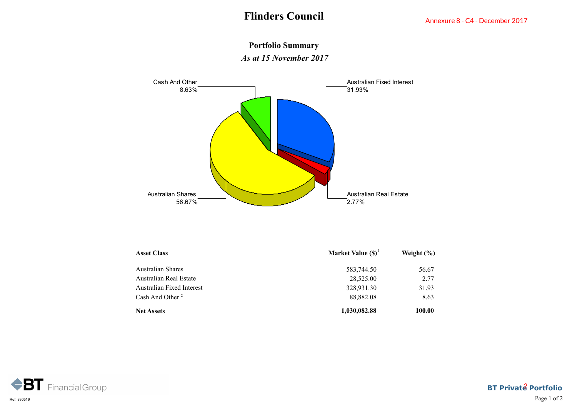

**Portfolio Summary** *As at 15 November 2017*

| <b>Asset Class</b>          | Market Value $(S)^1$ | Weight $(\% )$ |
|-----------------------------|----------------------|----------------|
| Australian Shares           | 583,744.50           | 56.67          |
| Australian Real Estate      | 28,525.00            | 2.77           |
| Australian Fixed Interest   | 328,931.30           | 31.93          |
| Cash And Other <sup>2</sup> | 88,882.08            | 8.63           |
| <b>Net Assets</b>           | 1,030,082.88         | 100.00         |

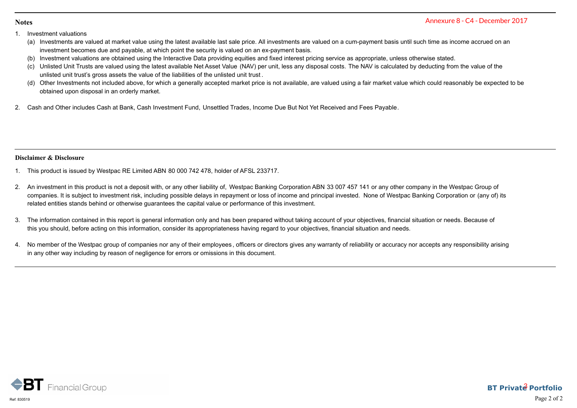#### **Notes**

- 
- Notes<br>
1. Investment valuations<br>
(a) Investments are valued at market value<br>
investment valuations are obtained using Express<br>Investment valuations<br>(a) Investment becomes due and payable, at which point the security is valued on an ex-payment basis under on a cum-payment basis until such time as income accrued on an<br>(b) Investment becomes investment becomes due and payable, at which point the security is valued on an ex-payment basis.
	-
- Sannewstment valuations<br>
(a) Investments are valued at market value using the latest available last sale price. All investments are valued on a cum-payment basis until such time as income accrue<br>
investment becomes due and External valuations<br>
(a) Investments are valued at market value using the latest available last sale price. All investments are valued on a cum-payment basis until such time as income accrued on an<br>
investment becomes due stment valuations<br>Investments are valued at market value using the latest available last sale price. All investments are vinvestment becomes due and payable, at which point the security is valued on an ex-payment basis.<br>In **Notes**<br>
2. Investment valuations<br>
2. Investments are valued at market value using the latest available last sale price. All investments are valued on a cum-payment basis until such time<br>
2. Investment tecomes due and paya
- Shimestiment valuations<br>
(a) Investments are valued at market value using the latest available last sale price. All investments are valued on a cum-payment basis until such time as income accrued on an<br>
investment becomes obtained upon disposal in an orderly market. 1. This product is included above, for which a generally accepted market price is not available, included above, for which a generally accepted market price is not available, included a upon disposal in an orderly market.<br>
- 

## **Disclaimer & Disclosure**

- 
- obtained upon disposal in an orderly market.<br>2. Cash and Other includes Cash at Bank, Cash Investment Fund, Unsettled Trades, Income Due But Not Yet Received and Fees Payable.<br>2. An investment in this product is not a depo companies. It is subject to investment risk, including possible delays in repayment or loss of income and principal invested. None of Westpac Banking Corporation or (any of) its related entities stands behind or otherwise guarantees the capital value or performance of this investment. **3.** This product is issued by Westpac RE Limited ABN 80 000 742 478, holder of AFSL 233717.<br>3. An investment in this product is not a deposit with, or any other liability of, Westpac Banking Corporation ABN 33 007 457 141 Dischaimer & Disclesure<br>1. This product is issued by Westpac RE Limited ABN 80 000 742 478, holder of AFSL 233717.<br>2. An investment in this product is not a deposit with, or any other liability of, Westpac Banking Corporat Annexure 8 - C4 - December 2017<br>
time as income accrued on an<br>
vise stated.<br>
ducting from the value of the<br>
could reasonably be expected to be<br>
could reasonably be expected to be<br>
my in the Westpac Group of<br>
ny in the Wes
- this you should, before acting on this information, consider its appropriateness having regard to your objectives, financial situation and needs.
- in any other way including by reason of negligence for errors or omissions in this document.

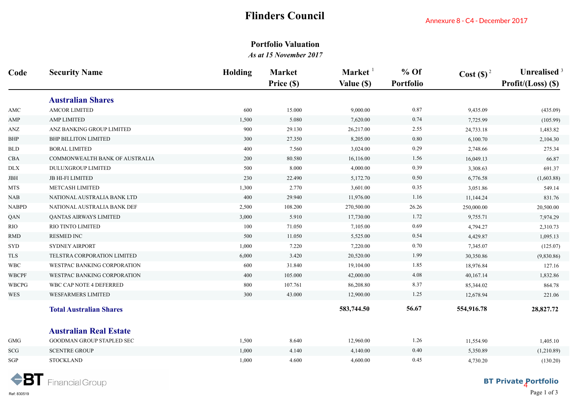# **Flinders Council**

# **Portfolio Valuation**

|                      |                                | т ппистр Сойнен |                                                      |                                   | Annexure 8 - C4 - December 2017 |             |                                      |  |
|----------------------|--------------------------------|-----------------|------------------------------------------------------|-----------------------------------|---------------------------------|-------------|--------------------------------------|--|
|                      |                                |                 | <b>Portfolio Valuation</b><br>As at 15 November 2017 |                                   |                                 |             |                                      |  |
| Code                 | <b>Security Name</b>           | Holding         | <b>Market</b><br>Price (\$)                          | Market <sup>1</sup><br>Value (\$) | $%$ Of<br><b>Portfolio</b>      | $Cost(S)^2$ | Unrealised $3$<br>Profit/(Loss) (\$) |  |
|                      | <b>Australian Shares</b>       |                 |                                                      |                                   |                                 |             |                                      |  |
| $\operatorname{AMC}$ | <b>AMCOR LIMITED</b>           | 600             | 15.000                                               | 9,000.00                          | 0.87                            | 9,435.09    | (435.09)                             |  |
| AMP                  | <b>AMP LIMITED</b>             | 1,500           | 5.080                                                | 7,620.00                          | 0.74                            | 7,725.99    | (105.99)                             |  |
| ANZ                  | ANZ BANKING GROUP LIMITED      | 900             | 29.130                                               | 26,217.00                         | 2.55                            | 24,733.18   | 1,483.82                             |  |
| BHP                  | <b>BHP BILLITON LIMITED</b>    | 300             | 27.350                                               | 8,205.00                          | 0.80                            | 6,100.70    | 2,104.30                             |  |
| BLD                  | <b>BORAL LIMITED</b>           | 400             | 7.560                                                | 3,024.00                          | 0.29                            | 2,748.66    | 275.34                               |  |
| CBA                  | COMMONWEALTH BANK OF AUSTRALIA | 200             | 80.580                                               | 16,116.00                         | 1.56                            | 16,049.13   | 66.87                                |  |
| $\rm{DLX}$           | <b>DULUXGROUP LIMITED</b>      | 500             | 8.000                                                | 4,000.00                          | 0.39                            | 3,308.63    | 691.37                               |  |
| JBH                  | <b>JB HI-FI LIMITED</b>        | 230             | 22.490                                               | 5,172.70                          | 0.50                            | 6,776.58    | (1,603.88)                           |  |
| MTS                  | METCASH LIMITED                | 1,300           | 2.770                                                | 3,601.00                          | 0.35                            | 3,051.86    | 549.14                               |  |
| NAB                  | NATIONAL AUSTRALIA BANK LTD    | 400             | 29.940                                               | 11,976.00                         | 1.16                            | 11,144.24   | 831.76                               |  |
| NABPD                | NATIONAL AUSTRALIA BANK DEF    | 2,500           | 108.200                                              | 270,500.00                        | 26.26                           | 250,000.00  | 20,500.00                            |  |
| QAN                  | QANTAS AIRWAYS LIMITED         | 3,000           | 5.910                                                | 17,730.00                         | 1.72                            | 9,755.71    | 7,974.29                             |  |
| RIO                  | RIO TINTO LIMITED              | 100             | 71.050                                               | 7,105.00                          | 0.69                            | 4,794.27    | 2,310.73                             |  |
| RMD                  | <b>RESMED INC</b>              | 500             | 11.050                                               | 5,525.00                          | 0.54                            | 4,429.87    | 1,095.13                             |  |
| SYD                  | <b>SYDNEY AIRPORT</b>          | 1,000           | 7.220                                                | 7,220.00                          | 0.70                            | 7,345.07    | (125.07)                             |  |
| <b>TLS</b>           | TELSTRA CORPORATION LIMITED    | 6,000           | 3.420                                                | 20,520.00                         | 1.99                            | 30,350.86   | (9,830.86)                           |  |
| <b>WBC</b>           | WESTPAC BANKING CORPORATION    | 600             | 31.840                                               | 19,104.00                         | 1.85                            | 18,976.84   | 127.16                               |  |
| <b>WBCPF</b>         | WESTPAC BANKING CORPORATION    | 400             | 105.000                                              | 42,000.00                         | 4.08                            | 40,167.14   | 1,832.86                             |  |
| WBCPG                | WBC CAP NOTE 4 DEFERRED        | 800             | 107.761                                              | 86,208.80                         | 8.37                            | 85,344.02   | 864.78                               |  |
| WES                  | WESFARMERS LIMITED             | 300             | 43.000                                               | 12,900.00                         | 1.25                            | 12,678.94   | 221.06                               |  |
|                      | <b>Total Australian Shares</b> |                 |                                                      | 583,744.50                        | 56.67                           | 554,916.78  | 28,827.72                            |  |
|                      | <b>Australian Real Estate</b>  |                 |                                                      |                                   |                                 |             |                                      |  |
| ${\rm GMG}$          | GOODMAN GROUP STAPLED SEC      | 1,500           | 8.640                                                | 12,960.00                         | 1.26                            | 11,554.90   | 1,405.10                             |  |
| SCG                  | <b>SCENTRE GROUP</b>           | 1,000           | 4.140                                                | 4,140.00                          | 0.40                            | 5,350.89    | (1,210.89)                           |  |
| SGP                  | <b>STOCKLAND</b>               | 1,000           | 4.600                                                | 4,600.00                          | 0.45                            | 4,730.20    | (130.20)                             |  |
|                      | <b>BT</b> Financial Group      |                 |                                                      |                                   |                                 |             | <b>BT Private Portfolio</b>          |  |

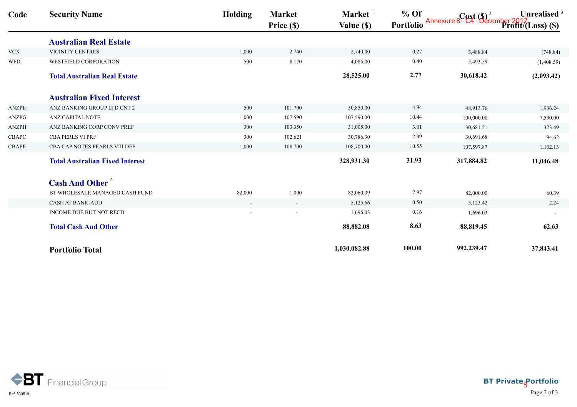| % Of Cost (\$) <sup>2</sup> Unrealised<br>Portfolio Annexure 8-C4-December 2017<br>Profit/(Loss) (\$)<br>Price (\$)<br>Value (\$)<br><b>Australian Real Estate</b><br>VICINITY CENTRES<br>0.27<br>1,000<br>2.740<br>2,740.00<br>3,488.84<br>500<br>8.170<br>0.40<br>WESTFIELD CORPORATION<br>4,085.00<br>5,493.59<br>2.77<br><b>Total Australian Real Estate</b><br>28,525.00<br>30,618.42<br><b>Australian Fixed Interest</b><br>ANZ BANKING GROUP LTD CNT 2<br>101.700<br>4.94<br>500<br>50,850.00<br>48,913.76<br>10.44<br>ANZ CAPITAL NOTE<br>1,000<br>107.590<br>107,590.00<br>100,000.00<br>ANZ BANKING CORP CONV PREF<br>103.350<br>3.01<br>300<br>31,005.00<br>30,681.51<br>2.99<br>CBA PERLS VI PRF<br>300<br>102.621<br>30,786.30<br>30,691.68<br>CBA CAP NOTES PEARLS VIII DEF<br>1,000<br>108.700<br>108,700.00<br>10.55<br>107,597.87<br>31.93<br>328,931.30<br>317,884.82<br><b>Total Australian Fixed Interest</b><br><b>Cash And Other<sup>4</sup></b><br>7.97<br>BT WHOLESALE MANAGED CASH FUND<br>82,000<br>$1.000\,$<br>82,060.39<br>82,000.00<br>CASH AT BANK-AUD<br>5,125.66<br>0.50<br>5,123.42<br>$\sim$<br>$\sim$<br>INCOME DUE BUT NOT RECD<br>1,696.03<br>0.16<br>1,696.03<br>8.63<br>88,819.45<br><b>Total Cash And Other</b><br>88,882.08<br>100.00<br>992,239.47<br>1,030,082.88<br><b>Portfolio Total</b> | Code | <b>Security Name</b> | <b>Holding</b> | Market | Market <sup>1</sup> | $%$ Of | Unrealised <sup>3</sup>     |
|-----------------------------------------------------------------------------------------------------------------------------------------------------------------------------------------------------------------------------------------------------------------------------------------------------------------------------------------------------------------------------------------------------------------------------------------------------------------------------------------------------------------------------------------------------------------------------------------------------------------------------------------------------------------------------------------------------------------------------------------------------------------------------------------------------------------------------------------------------------------------------------------------------------------------------------------------------------------------------------------------------------------------------------------------------------------------------------------------------------------------------------------------------------------------------------------------------------------------------------------------------------------------------------------------------------------------------------------|------|----------------------|----------------|--------|---------------------|--------|-----------------------------|
| <b>VCX</b><br><b>WFD</b>                                                                                                                                                                                                                                                                                                                                                                                                                                                                                                                                                                                                                                                                                                                                                                                                                                                                                                                                                                                                                                                                                                                                                                                                                                                                                                                |      |                      |                |        |                     |        |                             |
|                                                                                                                                                                                                                                                                                                                                                                                                                                                                                                                                                                                                                                                                                                                                                                                                                                                                                                                                                                                                                                                                                                                                                                                                                                                                                                                                         |      |                      |                |        |                     |        |                             |
|                                                                                                                                                                                                                                                                                                                                                                                                                                                                                                                                                                                                                                                                                                                                                                                                                                                                                                                                                                                                                                                                                                                                                                                                                                                                                                                                         |      |                      |                |        |                     |        | (748.84)                    |
|                                                                                                                                                                                                                                                                                                                                                                                                                                                                                                                                                                                                                                                                                                                                                                                                                                                                                                                                                                                                                                                                                                                                                                                                                                                                                                                                         |      |                      |                |        |                     |        | (1,408.59)                  |
|                                                                                                                                                                                                                                                                                                                                                                                                                                                                                                                                                                                                                                                                                                                                                                                                                                                                                                                                                                                                                                                                                                                                                                                                                                                                                                                                         |      |                      |                |        |                     |        | (2,093.42)                  |
| ANZPE<br>ANZPG<br>ANZPH<br>CBAPC<br>CBAPE                                                                                                                                                                                                                                                                                                                                                                                                                                                                                                                                                                                                                                                                                                                                                                                                                                                                                                                                                                                                                                                                                                                                                                                                                                                                                               |      |                      |                |        |                     |        |                             |
|                                                                                                                                                                                                                                                                                                                                                                                                                                                                                                                                                                                                                                                                                                                                                                                                                                                                                                                                                                                                                                                                                                                                                                                                                                                                                                                                         |      |                      |                |        |                     |        | 1,936.24                    |
|                                                                                                                                                                                                                                                                                                                                                                                                                                                                                                                                                                                                                                                                                                                                                                                                                                                                                                                                                                                                                                                                                                                                                                                                                                                                                                                                         |      |                      |                |        |                     |        | 7,590.00                    |
|                                                                                                                                                                                                                                                                                                                                                                                                                                                                                                                                                                                                                                                                                                                                                                                                                                                                                                                                                                                                                                                                                                                                                                                                                                                                                                                                         |      |                      |                |        |                     |        | 323.49                      |
|                                                                                                                                                                                                                                                                                                                                                                                                                                                                                                                                                                                                                                                                                                                                                                                                                                                                                                                                                                                                                                                                                                                                                                                                                                                                                                                                         |      |                      |                |        |                     |        | 94.62                       |
|                                                                                                                                                                                                                                                                                                                                                                                                                                                                                                                                                                                                                                                                                                                                                                                                                                                                                                                                                                                                                                                                                                                                                                                                                                                                                                                                         |      |                      |                |        |                     |        | 1,102.13                    |
|                                                                                                                                                                                                                                                                                                                                                                                                                                                                                                                                                                                                                                                                                                                                                                                                                                                                                                                                                                                                                                                                                                                                                                                                                                                                                                                                         |      |                      |                |        |                     |        | 11,046.48                   |
|                                                                                                                                                                                                                                                                                                                                                                                                                                                                                                                                                                                                                                                                                                                                                                                                                                                                                                                                                                                                                                                                                                                                                                                                                                                                                                                                         |      |                      |                |        |                     |        |                             |
|                                                                                                                                                                                                                                                                                                                                                                                                                                                                                                                                                                                                                                                                                                                                                                                                                                                                                                                                                                                                                                                                                                                                                                                                                                                                                                                                         |      |                      |                |        |                     |        | 60.39                       |
|                                                                                                                                                                                                                                                                                                                                                                                                                                                                                                                                                                                                                                                                                                                                                                                                                                                                                                                                                                                                                                                                                                                                                                                                                                                                                                                                         |      |                      |                |        |                     |        | 2.24                        |
|                                                                                                                                                                                                                                                                                                                                                                                                                                                                                                                                                                                                                                                                                                                                                                                                                                                                                                                                                                                                                                                                                                                                                                                                                                                                                                                                         |      |                      |                |        |                     |        |                             |
|                                                                                                                                                                                                                                                                                                                                                                                                                                                                                                                                                                                                                                                                                                                                                                                                                                                                                                                                                                                                                                                                                                                                                                                                                                                                                                                                         |      |                      |                |        |                     |        | 62.63                       |
|                                                                                                                                                                                                                                                                                                                                                                                                                                                                                                                                                                                                                                                                                                                                                                                                                                                                                                                                                                                                                                                                                                                                                                                                                                                                                                                                         |      |                      |                |        |                     |        | 37,843.41                   |
|                                                                                                                                                                                                                                                                                                                                                                                                                                                                                                                                                                                                                                                                                                                                                                                                                                                                                                                                                                                                                                                                                                                                                                                                                                                                                                                                         |      |                      |                |        |                     |        |                             |
|                                                                                                                                                                                                                                                                                                                                                                                                                                                                                                                                                                                                                                                                                                                                                                                                                                                                                                                                                                                                                                                                                                                                                                                                                                                                                                                                         |      |                      |                |        |                     |        |                             |
|                                                                                                                                                                                                                                                                                                                                                                                                                                                                                                                                                                                                                                                                                                                                                                                                                                                                                                                                                                                                                                                                                                                                                                                                                                                                                                                                         |      |                      |                |        |                     |        |                             |
|                                                                                                                                                                                                                                                                                                                                                                                                                                                                                                                                                                                                                                                                                                                                                                                                                                                                                                                                                                                                                                                                                                                                                                                                                                                                                                                                         |      |                      |                |        |                     |        |                             |
|                                                                                                                                                                                                                                                                                                                                                                                                                                                                                                                                                                                                                                                                                                                                                                                                                                                                                                                                                                                                                                                                                                                                                                                                                                                                                                                                         |      |                      |                |        |                     |        |                             |
|                                                                                                                                                                                                                                                                                                                                                                                                                                                                                                                                                                                                                                                                                                                                                                                                                                                                                                                                                                                                                                                                                                                                                                                                                                                                                                                                         |      |                      |                |        |                     |        |                             |
|                                                                                                                                                                                                                                                                                                                                                                                                                                                                                                                                                                                                                                                                                                                                                                                                                                                                                                                                                                                                                                                                                                                                                                                                                                                                                                                                         |      |                      |                |        |                     |        |                             |
|                                                                                                                                                                                                                                                                                                                                                                                                                                                                                                                                                                                                                                                                                                                                                                                                                                                                                                                                                                                                                                                                                                                                                                                                                                                                                                                                         |      |                      |                |        |                     |        |                             |
| <b>BT</b> Financial Group                                                                                                                                                                                                                                                                                                                                                                                                                                                                                                                                                                                                                                                                                                                                                                                                                                                                                                                                                                                                                                                                                                                                                                                                                                                                                                               |      |                      |                |        |                     |        | <b>BT Private Portfolio</b> |



**BT Private Portfolio** Ref: 830519  ${\rm Page\,2\ of\ 3}$